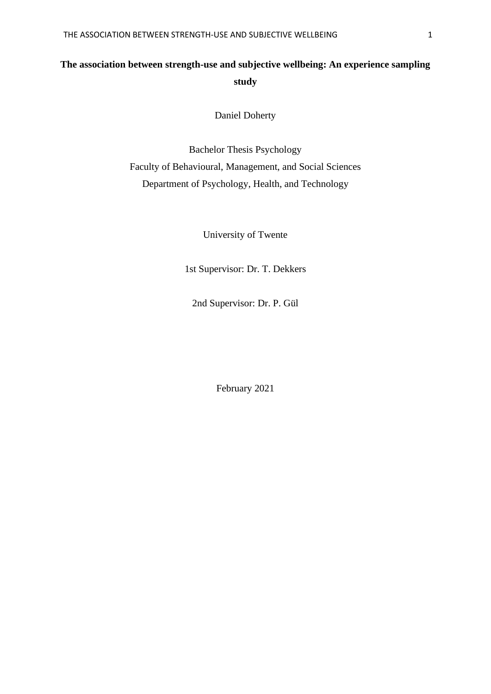# **The association between strength-use and subjective wellbeing: An experience sampling study**

Daniel Doherty

Bachelor Thesis Psychology Faculty of Behavioural, Management, and Social Sciences Department of Psychology, Health, and Technology

University of Twente

1st Supervisor: Dr. T. Dekkers

2nd Supervisor: Dr. P. Gül

February 2021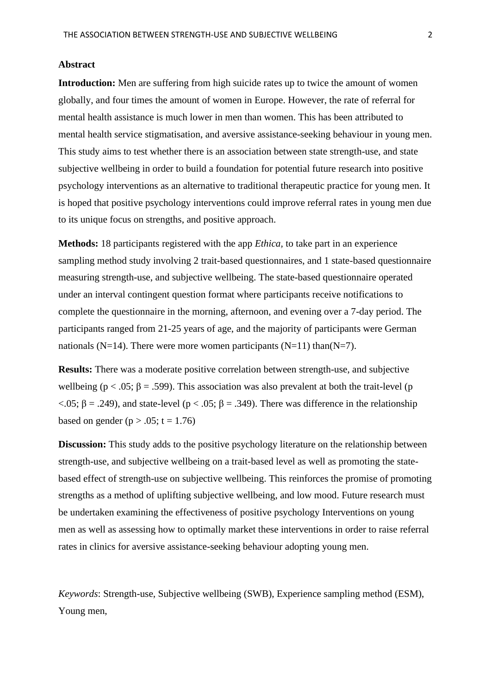#### **Abstract**

**Introduction:** Men are suffering from high suicide rates up to twice the amount of women globally, and four times the amount of women in Europe. However, the rate of referral for mental health assistance is much lower in men than women. This has been attributed to mental health service stigmatisation, and aversive assistance-seeking behaviour in young men. This study aims to test whether there is an association between state strength-use, and state subjective wellbeing in order to build a foundation for potential future research into positive psychology interventions as an alternative to traditional therapeutic practice for young men. It is hoped that positive psychology interventions could improve referral rates in young men due to its unique focus on strengths, and positive approach.

**Methods:** 18 participants registered with the app *Ethica,* to take part in an experience sampling method study involving 2 trait-based questionnaires, and 1 state-based questionnaire measuring strength-use, and subjective wellbeing. The state-based questionnaire operated under an interval contingent question format where participants receive notifications to complete the questionnaire in the morning, afternoon, and evening over a 7-day period. The participants ranged from 21-25 years of age, and the majority of participants were German nationals (N=14). There were more women participants (N=11) than  $(N=7)$ .

**Results:** There was a moderate positive correlation between strength-use, and subjective wellbeing ( $p < .05$ ;  $\beta = .599$ ). This association was also prevalent at both the trait-level (p  $<$ .05;  $\beta$  = .249), and state-level (p  $<$  .05;  $\beta$  = .349). There was difference in the relationship based on gender ( $p > .05$ ;  $t = 1.76$ )

**Discussion:** This study adds to the positive psychology literature on the relationship between strength-use, and subjective wellbeing on a trait-based level as well as promoting the statebased effect of strength-use on subjective wellbeing. This reinforces the promise of promoting strengths as a method of uplifting subjective wellbeing, and low mood. Future research must be undertaken examining the effectiveness of positive psychology Interventions on young men as well as assessing how to optimally market these interventions in order to raise referral rates in clinics for aversive assistance-seeking behaviour adopting young men.

*Keywords*: Strength-use, Subjective wellbeing (SWB), Experience sampling method (ESM), Young men,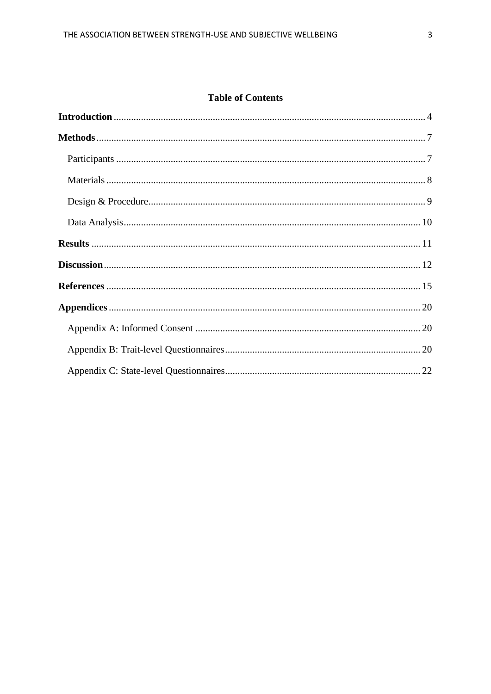## **Table of Contents**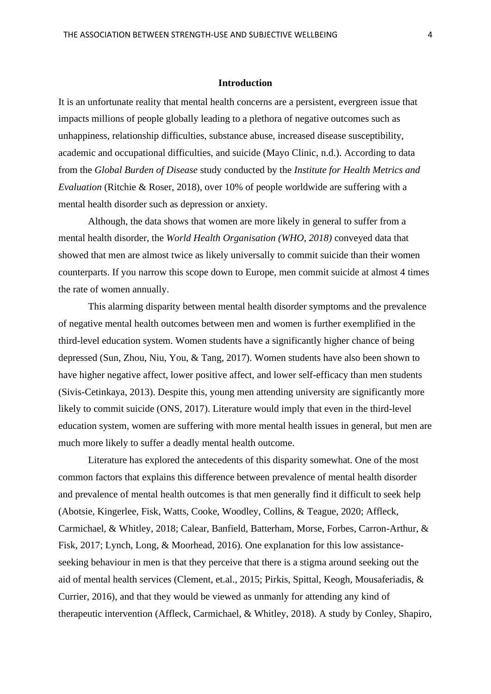#### **Introduction**

<span id="page-3-0"></span>It is an unfortunate reality that mental health concerns are a persistent, evergreen issue that impacts millions of people globally leading to a plethora of negative outcomes such as unhappiness, relationship difficulties, substance abuse, increased disease susceptibility, academic and occupational difficulties, and suicide (Mayo Clinic, n.d.). According to data from the *Global Burden of Disease* study conducted by the *Institute for Health Metrics and Evaluation* (Ritchie & Roser, 2018), over 10% of people worldwide are suffering with a mental health disorder such as depression or anxiety.

Although, the data shows that women are more likely in general to suffer from a mental health disorder, the *World Health Organisation (WHO, 2018)* conveyed data that showed that men are almost twice as likely universally to commit suicide than their women counterparts. If you narrow this scope down to Europe, men commit suicide at almost 4 times the rate of women annually.

This alarming disparity between mental health disorder symptoms and the prevalence of negative mental health outcomes between men and women is further exemplified in the third-level education system. Women students have a significantly higher chance of being depressed (Sun, Zhou, Niu, You, & Tang, 2017). Women students have also been shown to have higher negative affect, lower positive affect, and lower self-efficacy than men students (Sivis-Cetinkaya, 2013). Despite this, young men attending university are significantly more likely to commit suicide (ONS, 2017). Literature would imply that even in the third-level education system, women are suffering with more mental health issues in general, but men are much more likely to suffer a deadly mental health outcome.

Literature has explored the antecedents of this disparity somewhat. One of the most common factors that explains this difference between prevalence of mental health disorder and prevalence of mental health outcomes is that men generally find it difficult to seek help (Abotsie, Kingerlee, Fisk, Watts, Cooke, Woodley, Collins, & Teague, 2020; Affleck, Carmichael, & Whitley, 2018; Calear, Banfield, Batterham, Morse, Forbes, Carron-Arthur, & Fisk, 2017; Lynch, Long, & Moorhead, 2016). One explanation for this low assistanceseeking behaviour in men is that they perceive that there is a stigma around seeking out the aid of mental health services (Clement, et.al., 2015; Pirkis, Spittal, Keogh, Mousaferiadis, & Currier, 2016), and that they would be viewed as unmanly for attending any kind of therapeutic intervention (Affleck, Carmichael, & Whitley, 2018). A study by Conley, Shapiro,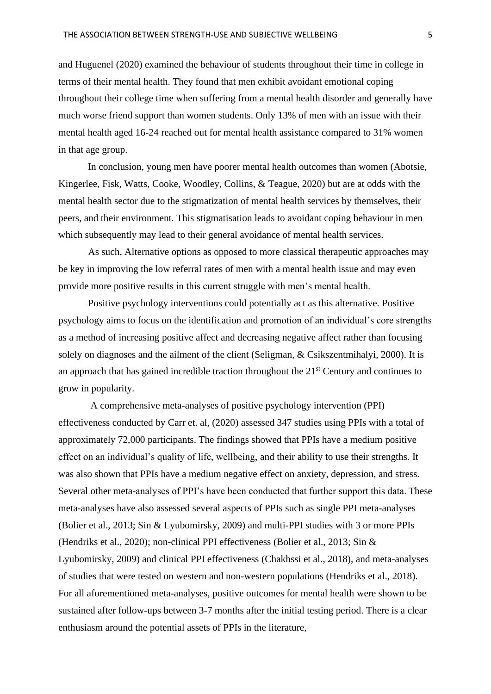and Huguenel (2020) examined the behaviour of students throughout their time in college in terms of their mental health. They found that men exhibit avoidant emotional coping throughout their college time when suffering from a mental health disorder and generally have much worse friend support than women students. Only 13% of men with an issue with their mental health aged 16-24 reached out for mental health assistance compared to 31% women in that age group.

In conclusion, young men have poorer mental health outcomes than women (Abotsie, Kingerlee, Fisk, Watts, Cooke, Woodley, Collins, & Teague, 2020) but are at odds with the mental health sector due to the stigmatization of mental health services by themselves, their peers, and their environment. This stigmatisation leads to avoidant coping behaviour in men which subsequently may lead to their general avoidance of mental health services.

As such, Alternative options as opposed to more classical therapeutic approaches may be key in improving the low referral rates of men with a mental health issue and may even provide more positive results in this current struggle with men's mental health.

Positive psychology interventions could potentially act as this alternative. Positive psychology aims to focus on the identification and promotion of an individual's core strengths as a method of increasing positive affect and decreasing negative affect rather than focusing solely on diagnoses and the ailment of the client (Seligman, & Csikszentmihalyi, 2000). It is an approach that has gained incredible traction throughout the  $21<sup>st</sup>$  Century and continues to grow in popularity.

A comprehensive meta-analyses of positive psychology intervention (PPI) effectiveness conducted by Carr et. al, (2020) assessed 347 studies using PPIs with a total of approximately 72,000 participants. The findings showed that PPIs have a medium positive effect on an individual's quality of life, wellbeing, and their ability to use their strengths. It was also shown that PPIs have a medium negative effect on anxiety, depression, and stress. Several other meta-analyses of PPI's have been conducted that further support this data. These meta-analyses have also assessed several aspects of PPIs such as single PPI meta-analyses (Bolier et al., 2013; Sin & Lyubomirsky, 2009) and multi-PPI studies with 3 or more PPIs (Hendriks et al., 2020); non-clinical PPI effectiveness (Bolier et al., 2013; Sin & Lyubomirsky, 2009) and clinical PPI effectiveness (Chakhssi et al., 2018), and meta-analyses of studies that were tested on western and non-western populations (Hendriks et al., 2018). For all aforementioned meta-analyses, positive outcomes for mental health were shown to be sustained after follow-ups between 3-7 months after the initial testing period. There is a clear enthusiasm around the potential assets of PPIs in the literature,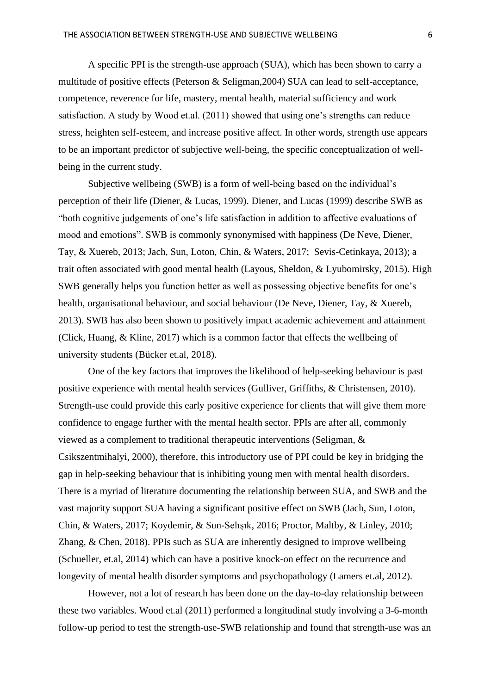A specific PPI is the strength-use approach (SUA), which has been shown to carry a multitude of positive effects (Peterson & Seligman,2004) SUA can lead to self-acceptance, competence, reverence for life, mastery, mental health, material sufficiency and work satisfaction. A study by Wood et.al. (2011) showed that using one's strengths can reduce stress, heighten self-esteem, and increase positive affect. In other words, strength use appears to be an important predictor of subjective well-being, the specific conceptualization of wellbeing in the current study.

Subjective wellbeing (SWB) is a form of well-being based on the individual's perception of their life (Diener, & Lucas, 1999). Diener, and Lucas (1999) describe SWB as "both cognitive judgements of one's life satisfaction in addition to affective evaluations of mood and emotions". SWB is commonly synonymised with happiness (De Neve, Diener, Tay, & Xuereb, 2013; Jach, Sun, Loton, Chin, & Waters, 2017; Sevis-Cetinkaya, 2013); a trait often associated with good mental health (Layous, Sheldon, & Lyubomirsky, 2015). High SWB generally helps you function better as well as possessing objective benefits for one's health, organisational behaviour, and social behaviour (De Neve, Diener, Tay, & Xuereb, 2013). SWB has also been shown to positively impact academic achievement and attainment (Click, Huang, & Kline, 2017) which is a common factor that effects the wellbeing of university students (Bücker et.al, 2018).

One of the key factors that improves the likelihood of help-seeking behaviour is past positive experience with mental health services (Gulliver, Griffiths, & Christensen, 2010). Strength-use could provide this early positive experience for clients that will give them more confidence to engage further with the mental health sector. PPIs are after all, commonly viewed as a complement to traditional therapeutic interventions (Seligman, & Csikszentmihalyi, 2000), therefore, this introductory use of PPI could be key in bridging the gap in help-seeking behaviour that is inhibiting young men with mental health disorders. There is a myriad of literature documenting the relationship between SUA, and SWB and the vast majority support SUA having a significant positive effect on SWB (Jach, Sun, Loton, Chin, & Waters, 2017; Koydemir, & Sun-Selışık, 2016; Proctor, Maltby, & Linley, 2010; Zhang, & Chen, 2018). PPIs such as SUA are inherently designed to improve wellbeing (Schueller, et.al, 2014) which can have a positive knock-on effect on the recurrence and longevity of mental health disorder symptoms and psychopathology (Lamers et.al, 2012).

However, not a lot of research has been done on the day-to-day relationship between these two variables. Wood et.al (2011) performed a longitudinal study involving a 3-6-month follow-up period to test the strength-use-SWB relationship and found that strength-use was an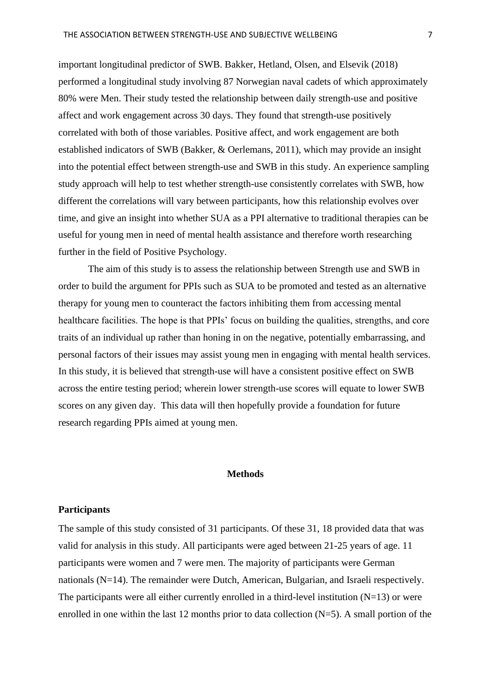important longitudinal predictor of SWB. Bakker, Hetland, Olsen, and Elsevik (2018) performed a longitudinal study involving 87 Norwegian naval cadets of which approximately 80% were Men. Their study tested the relationship between daily strength-use and positive affect and work engagement across 30 days. They found that strength-use positively correlated with both of those variables. Positive affect, and work engagement are both established indicators of SWB (Bakker, & Oerlemans, 2011), which may provide an insight into the potential effect between strength-use and SWB in this study. An experience sampling study approach will help to test whether strength-use consistently correlates with SWB, how different the correlations will vary between participants, how this relationship evolves over time, and give an insight into whether SUA as a PPI alternative to traditional therapies can be useful for young men in need of mental health assistance and therefore worth researching further in the field of Positive Psychology.

The aim of this study is to assess the relationship between Strength use and SWB in order to build the argument for PPIs such as SUA to be promoted and tested as an alternative therapy for young men to counteract the factors inhibiting them from accessing mental healthcare facilities. The hope is that PPIs' focus on building the qualities, strengths, and core traits of an individual up rather than honing in on the negative, potentially embarrassing, and personal factors of their issues may assist young men in engaging with mental health services. In this study, it is believed that strength-use will have a consistent positive effect on SWB across the entire testing period; wherein lower strength-use scores will equate to lower SWB scores on any given day. This data will then hopefully provide a foundation for future research regarding PPIs aimed at young men.

#### **Methods**

## <span id="page-6-1"></span><span id="page-6-0"></span>**Participants**

The sample of this study consisted of 31 participants. Of these 31, 18 provided data that was valid for analysis in this study. All participants were aged between 21-25 years of age. 11 participants were women and 7 were men. The majority of participants were German nationals (N=14). The remainder were Dutch, American, Bulgarian, and Israeli respectively. The participants were all either currently enrolled in a third-level institution  $(N=13)$  or were enrolled in one within the last 12 months prior to data collection  $(N=5)$ . A small portion of the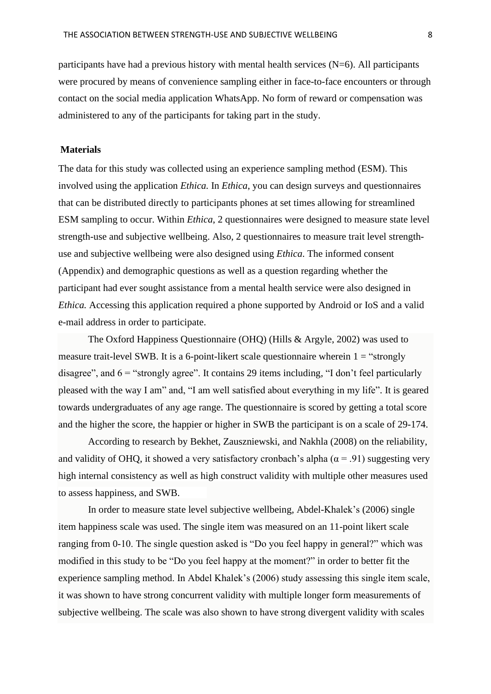participants have had a previous history with mental health services (N=6). All participants were procured by means of convenience sampling either in face-to-face encounters or through contact on the social media application WhatsApp. No form of reward or compensation was administered to any of the participants for taking part in the study.

#### <span id="page-7-0"></span>**Materials**

The data for this study was collected using an experience sampling method (ESM). This involved using the application *Ethica.* In *Ethica*, you can design surveys and questionnaires that can be distributed directly to participants phones at set times allowing for streamlined ESM sampling to occur. Within *Ethica*, 2 questionnaires were designed to measure state level strength-use and subjective wellbeing. Also, 2 questionnaires to measure trait level strengthuse and subjective wellbeing were also designed using *Ethica*. The informed consent (Appendix) and demographic questions as well as a question regarding whether the participant had ever sought assistance from a mental health service were also designed in *Ethica.* Accessing this application required a phone supported by Android or IoS and a valid e-mail address in order to participate.

The Oxford Happiness Questionnaire (OHQ) (Hills & Argyle, 2002) was used to measure trait-level SWB. It is a 6-point-likert scale questionnaire wherein  $1 =$  "strongly" disagree", and  $6 =$  "strongly agree". It contains 29 items including, "I don't feel particularly pleased with the way I am" and, "I am well satisfied about everything in my life". It is geared towards undergraduates of any age range. The questionnaire is scored by getting a total score and the higher the score, the happier or higher in SWB the participant is on a scale of 29-174.

According to research by Bekhet, Zauszniewski, and Nakhla (2008) on the reliability, and validity of OHQ, it showed a very satisfactory cronbach's alpha ( $\alpha$  = .91) suggesting very high internal consistency as well as high construct validity with multiple other measures used to assess happiness, and SWB.

In order to measure state level subjective wellbeing, Abdel-Khalek's (2006) single item happiness scale was used. The single item was measured on an 11-point likert scale ranging from 0-10. The single question asked is "Do you feel happy in general?" which was modified in this study to be "Do you feel happy at the moment?" in order to better fit the experience sampling method. In Abdel Khalek's (2006) study assessing this single item scale, it was shown to have strong concurrent validity with multiple longer form measurements of subjective wellbeing. The scale was also shown to have strong divergent validity with scales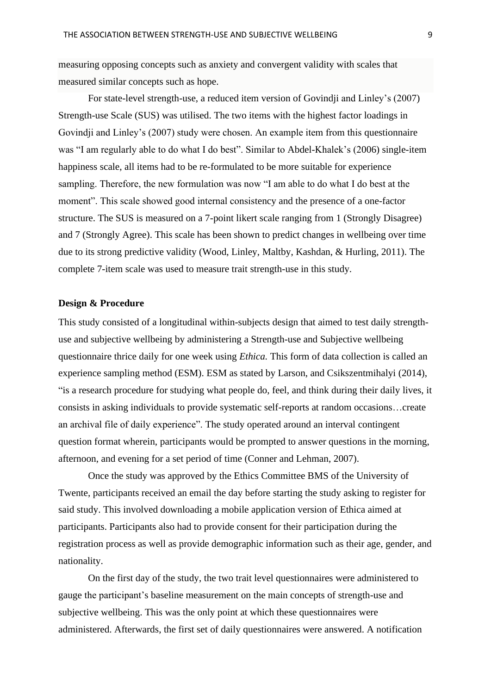measuring opposing concepts such as anxiety and convergent validity with scales that measured similar concepts such as hope.

For state-level strength-use, a reduced item version of Govindji and Linley's (2007) Strength-use Scale (SUS) was utilised. The two items with the highest factor loadings in Govindji and Linley's (2007) study were chosen. An example item from this questionnaire was "I am regularly able to do what I do best". Similar to Abdel-Khalek's (2006) single-item happiness scale, all items had to be re-formulated to be more suitable for experience sampling. Therefore, the new formulation was now "I am able to do what I do best at the moment". This scale showed good internal consistency and the presence of a one-factor structure. The SUS is measured on a 7-point likert scale ranging from 1 (Strongly Disagree) and 7 (Strongly Agree). This scale has been shown to predict changes in wellbeing over time due to its strong predictive validity (Wood, Linley, Maltby, Kashdan, & Hurling, 2011). The complete 7-item scale was used to measure trait strength-use in this study.

#### <span id="page-8-0"></span>**Design & Procedure**

This study consisted of a longitudinal within-subjects design that aimed to test daily strengthuse and subjective wellbeing by administering a Strength-use and Subjective wellbeing questionnaire thrice daily for one week using *Ethica.* This form of data collection is called an experience sampling method (ESM). ESM as stated by Larson, and Csikszentmihalyi (2014), "is a research procedure for studying what people do, feel, and think during their daily lives, it consists in asking individuals to provide systematic self-reports at random occasions…create an archival file of daily experience". The study operated around an interval contingent question format wherein, participants would be prompted to answer questions in the morning, afternoon, and evening for a set period of time (Conner and Lehman, 2007).

Once the study was approved by the Ethics Committee BMS of the University of Twente, participants received an email the day before starting the study asking to register for said study. This involved downloading a mobile application version of Ethica aimed at participants. Participants also had to provide consent for their participation during the registration process as well as provide demographic information such as their age, gender, and nationality.

On the first day of the study, the two trait level questionnaires were administered to gauge the participant's baseline measurement on the main concepts of strength-use and subjective wellbeing. This was the only point at which these questionnaires were administered. Afterwards, the first set of daily questionnaires were answered. A notification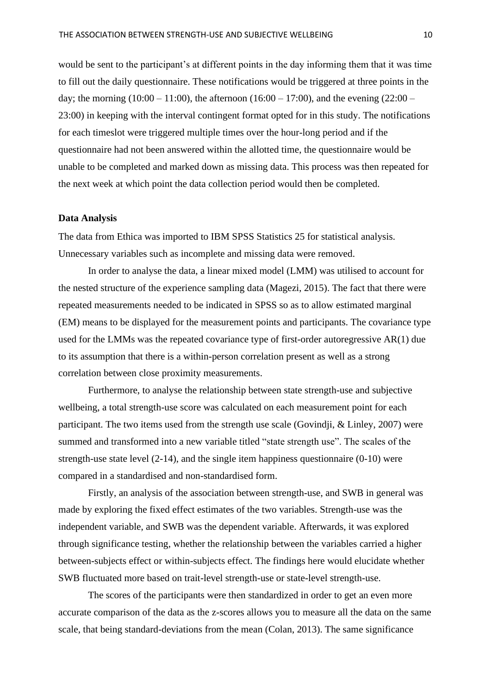would be sent to the participant's at different points in the day informing them that it was time to fill out the daily questionnaire. These notifications would be triggered at three points in the day; the morning  $(10:00 - 11:00)$ , the afternoon  $(16:00 - 17:00)$ , and the evening  $(22:00 -$ 23:00) in keeping with the interval contingent format opted for in this study. The notifications for each timeslot were triggered multiple times over the hour-long period and if the questionnaire had not been answered within the allotted time, the questionnaire would be unable to be completed and marked down as missing data. This process was then repeated for the next week at which point the data collection period would then be completed.

#### <span id="page-9-0"></span>**Data Analysis**

The data from Ethica was imported to IBM SPSS Statistics 25 for statistical analysis. Unnecessary variables such as incomplete and missing data were removed.

In order to analyse the data, a linear mixed model (LMM) was utilised to account for the nested structure of the experience sampling data (Magezi, 2015). The fact that there were repeated measurements needed to be indicated in SPSS so as to allow estimated marginal (EM) means to be displayed for the measurement points and participants. The covariance type used for the LMMs was the repeated covariance type of first-order autoregressive AR(1) due to its assumption that there is a within-person correlation present as well as a strong correlation between close proximity measurements.

Furthermore, to analyse the relationship between state strength-use and subjective wellbeing, a total strength-use score was calculated on each measurement point for each participant. The two items used from the strength use scale (Govindji, & Linley, 2007) were summed and transformed into a new variable titled "state strength use". The scales of the strength-use state level (2-14), and the single item happiness questionnaire (0-10) were compared in a standardised and non-standardised form.

Firstly, an analysis of the association between strength-use, and SWB in general was made by exploring the fixed effect estimates of the two variables. Strength-use was the independent variable, and SWB was the dependent variable. Afterwards, it was explored through significance testing, whether the relationship between the variables carried a higher between-subjects effect or within-subjects effect. The findings here would elucidate whether SWB fluctuated more based on trait-level strength-use or state-level strength-use.

The scores of the participants were then standardized in order to get an even more accurate comparison of the data as the z-scores allows you to measure all the data on the same scale, that being standard-deviations from the mean (Colan, 2013). The same significance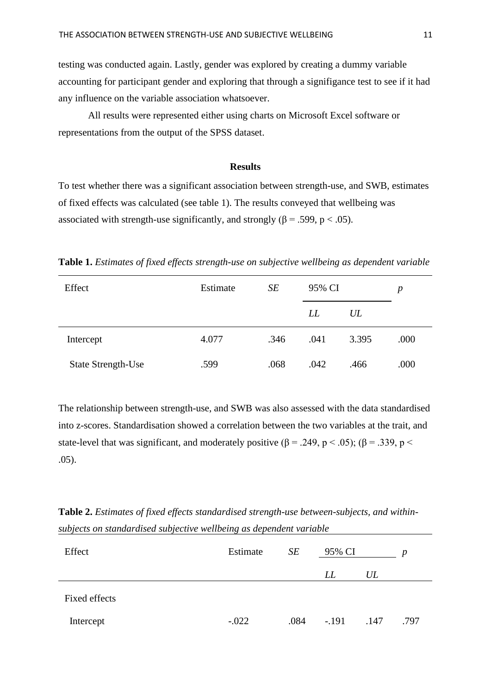testing was conducted again. Lastly, gender was explored by creating a dummy variable accounting for participant gender and exploring that through a signifigance test to see if it had any influence on the variable association whatsoever.

All results were represented either using charts on Microsoft Excel software or representations from the output of the SPSS dataset.

#### **Results**

<span id="page-10-0"></span>To test whether there was a significant association between strength-use, and SWB, estimates of fixed effects was calculated (see table 1). The results conveyed that wellbeing was associated with strength-use significantly, and strongly ( $\beta$  = .599, p < .05).

**Table 1.** *Estimates of fixed effects strength-use on subjective wellbeing as dependent variable*

| Effect             | Estimate | SE   | 95% CI |       | р    |
|--------------------|----------|------|--------|-------|------|
|                    |          |      | LL     | UL    |      |
| Intercept          | 4.077    | .346 | .041   | 3.395 | .000 |
| State Strength-Use | .599     | .068 | .042   | .466  | .000 |

The relationship between strength-use, and SWB was also assessed with the data standardised into z-scores. Standardisation showed a correlation between the two variables at the trait, and state-level that was significant, and moderately positive ( $\beta$  = .249, p < .05); ( $\beta$  = .339, p < .05).

**Table 2.** *Estimates of fixed effects standardised strength-use between-subjects, and withinsubjects on standardised subjective wellbeing as dependent variable*

| Effect        | Estimate | SE   | 95% CI  |      | D    |
|---------------|----------|------|---------|------|------|
|               |          |      | LL      | UL   |      |
| Fixed effects |          |      |         |      |      |
| Intercept     | $-.022$  | .084 | $-.191$ | .147 | .797 |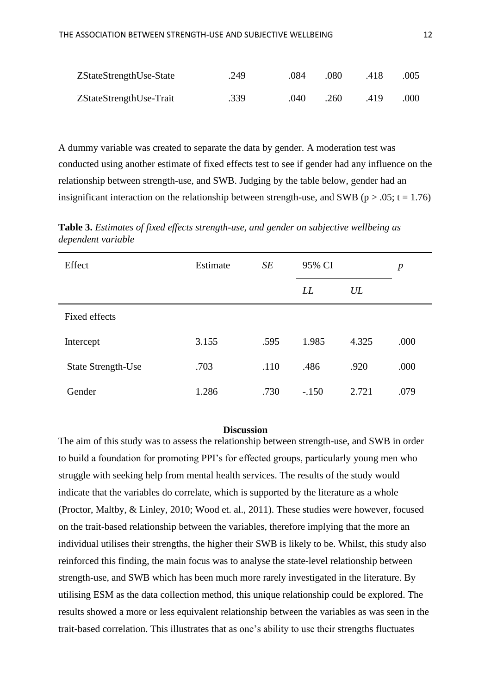| ZStateStrengthUse-State | .249 | .084 | .080 | .418 | .005 |
|-------------------------|------|------|------|------|------|
| ZStateStrengthUse-Trait | .339 | .040 | .260 | .419 | .000 |

A dummy variable was created to separate the data by gender. A moderation test was conducted using another estimate of fixed effects test to see if gender had any influence on the relationship between strength-use, and SWB. Judging by the table below, gender had an insignificant interaction on the relationship between strength-use, and SWB ( $p > .05$ ;  $t = 1.76$ )

**Table 3.** *Estimates of fixed effects strength-use, and gender on subjective wellbeing as dependent variable*

| Effect                    | Estimate | SE   | 95% CI  |       | $\boldsymbol{p}$ |
|---------------------------|----------|------|---------|-------|------------------|
|                           |          |      | LL      | UL    |                  |
| <b>Fixed effects</b>      |          |      |         |       |                  |
| Intercept                 | 3.155    | .595 | 1.985   | 4.325 | .000             |
| <b>State Strength-Use</b> | .703     | .110 | .486    | .920  | .000             |
| Gender                    | 1.286    | .730 | $-.150$ | 2.721 | .079             |

#### **Discussion**

<span id="page-11-0"></span>The aim of this study was to assess the relationship between strength-use, and SWB in order to build a foundation for promoting PPI's for effected groups, particularly young men who struggle with seeking help from mental health services. The results of the study would indicate that the variables do correlate, which is supported by the literature as a whole (Proctor, Maltby, & Linley, 2010; Wood et. al., 2011). These studies were however, focused on the trait-based relationship between the variables, therefore implying that the more an individual utilises their strengths, the higher their SWB is likely to be. Whilst, this study also reinforced this finding, the main focus was to analyse the state-level relationship between strength-use, and SWB which has been much more rarely investigated in the literature. By utilising ESM as the data collection method, this unique relationship could be explored. The results showed a more or less equivalent relationship between the variables as was seen in the trait-based correlation. This illustrates that as one's ability to use their strengths fluctuates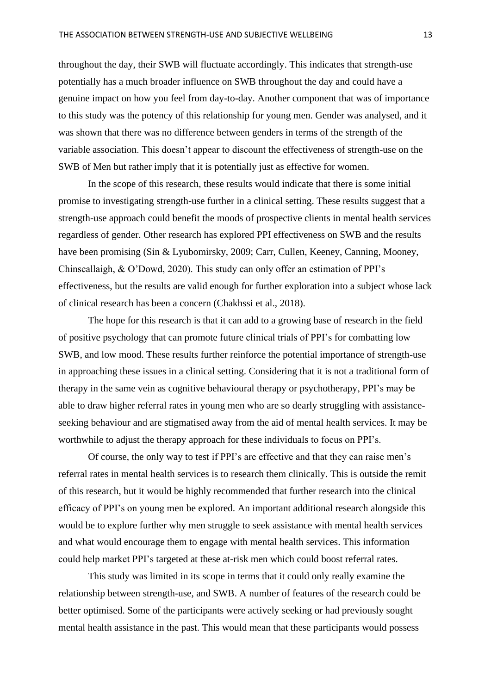throughout the day, their SWB will fluctuate accordingly. This indicates that strength-use potentially has a much broader influence on SWB throughout the day and could have a genuine impact on how you feel from day-to-day. Another component that was of importance to this study was the potency of this relationship for young men. Gender was analysed, and it was shown that there was no difference between genders in terms of the strength of the variable association. This doesn't appear to discount the effectiveness of strength-use on the SWB of Men but rather imply that it is potentially just as effective for women.

In the scope of this research, these results would indicate that there is some initial promise to investigating strength-use further in a clinical setting. These results suggest that a strength-use approach could benefit the moods of prospective clients in mental health services regardless of gender. Other research has explored PPI effectiveness on SWB and the results have been promising (Sin & Lyubomirsky, 2009; Carr, Cullen, Keeney, Canning, Mooney, Chinseallaigh, & O'Dowd, 2020). This study can only offer an estimation of PPI's effectiveness, but the results are valid enough for further exploration into a subject whose lack of clinical research has been a concern (Chakhssi et al., 2018).

The hope for this research is that it can add to a growing base of research in the field of positive psychology that can promote future clinical trials of PPI's for combatting low SWB, and low mood. These results further reinforce the potential importance of strength-use in approaching these issues in a clinical setting. Considering that it is not a traditional form of therapy in the same vein as cognitive behavioural therapy or psychotherapy, PPI's may be able to draw higher referral rates in young men who are so dearly struggling with assistanceseeking behaviour and are stigmatised away from the aid of mental health services. It may be worthwhile to adjust the therapy approach for these individuals to focus on PPI's.

Of course, the only way to test if PPI's are effective and that they can raise men's referral rates in mental health services is to research them clinically. This is outside the remit of this research, but it would be highly recommended that further research into the clinical efficacy of PPI's on young men be explored. An important additional research alongside this would be to explore further why men struggle to seek assistance with mental health services and what would encourage them to engage with mental health services. This information could help market PPI's targeted at these at-risk men which could boost referral rates.

This study was limited in its scope in terms that it could only really examine the relationship between strength-use, and SWB. A number of features of the research could be better optimised. Some of the participants were actively seeking or had previously sought mental health assistance in the past. This would mean that these participants would possess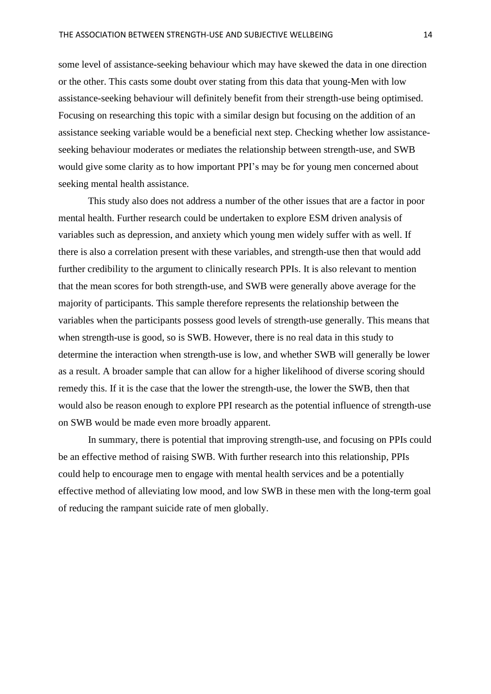some level of assistance-seeking behaviour which may have skewed the data in one direction or the other. This casts some doubt over stating from this data that young-Men with low assistance-seeking behaviour will definitely benefit from their strength-use being optimised. Focusing on researching this topic with a similar design but focusing on the addition of an assistance seeking variable would be a beneficial next step. Checking whether low assistanceseeking behaviour moderates or mediates the relationship between strength-use, and SWB would give some clarity as to how important PPI's may be for young men concerned about seeking mental health assistance.

This study also does not address a number of the other issues that are a factor in poor mental health. Further research could be undertaken to explore ESM driven analysis of variables such as depression, and anxiety which young men widely suffer with as well. If there is also a correlation present with these variables, and strength-use then that would add further credibility to the argument to clinically research PPIs. It is also relevant to mention that the mean scores for both strength-use, and SWB were generally above average for the majority of participants. This sample therefore represents the relationship between the variables when the participants possess good levels of strength-use generally. This means that when strength-use is good, so is SWB. However, there is no real data in this study to determine the interaction when strength-use is low, and whether SWB will generally be lower as a result. A broader sample that can allow for a higher likelihood of diverse scoring should remedy this. If it is the case that the lower the strength-use, the lower the SWB, then that would also be reason enough to explore PPI research as the potential influence of strength-use on SWB would be made even more broadly apparent.

<span id="page-13-0"></span>In summary, there is potential that improving strength-use, and focusing on PPIs could be an effective method of raising SWB. With further research into this relationship, PPIs could help to encourage men to engage with mental health services and be a potentially effective method of alleviating low mood, and low SWB in these men with the long-term goal of reducing the rampant suicide rate of men globally.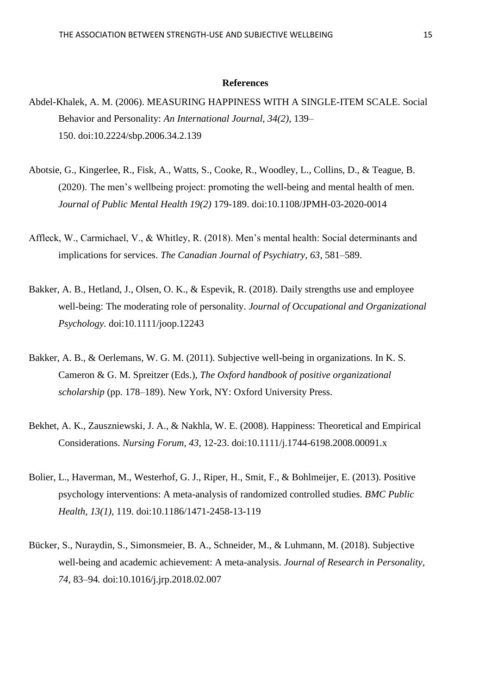#### **References**

- Abdel-Khalek, A. M. (2006). MEASURING HAPPINESS WITH A SINGLE-ITEM SCALE. Social Behavior and Personality: *An International Journal, 34(2),* 139– 150. doi:10.2224/sbp.2006.34.2.139
- Abotsie, G., Kingerlee, R., Fisk, A., Watts, S., Cooke, R., Woodley, L., Collins, D., & Teague, B. (2020). The men's wellbeing project: promoting the well-being and mental health of men. *Journal of Public Mental Health 19(2)* 179-189. doi:10.1108/JPMH-03-2020-0014
- Affleck, W., Carmichael, V., & Whitley, R. (2018). Men's mental health: Social determinants and implications for services. *The Canadian Journal of Psychiatry, 63*, 581–589.
- Bakker, A. B., Hetland, J., Olsen, O. K., & Espevik, R. (2018). Daily strengths use and employee well-being: The moderating role of personality. *Journal of Occupational and Organizational Psychology.* doi:10.1111/joop.12243
- Bakker, A. B., & Oerlemans, W. G. M. (2011). Subjective well-being in organizations. In K. S. Cameron & G. M. Spreitzer (Eds.), *The Oxford handbook of positive organizational scholarship* (pp. 178–189). New York, NY: Oxford University Press.
- Bekhet, A. K., Zauszniewski, J. A., & Nakhla, W. E. (2008). Happiness: Theoretical and Empirical Considerations. *Nursing Forum, 43*, 12-23. doi:10.1111/j.1744-6198.2008.00091.x
- Bolier, L., Haverman, M., Westerhof, G. J., Riper, H., Smit, F., & Bohlmeijer, E. (2013). Positive psychology interventions: A meta-analysis of randomized controlled studies. *BMC Public Health*, *13(1),* 119. doi:10.1186/1471-2458-13-119
- Bücker, S., Nuraydin, S., Simonsmeier, B. A., Schneider, M., & Luhmann, M. (2018). Subjective well-being and academic achievement: A meta-analysis. *Journal of Research in Personality, 74,* 83–94*.* doi:10.1016/j.jrp.2018.02.007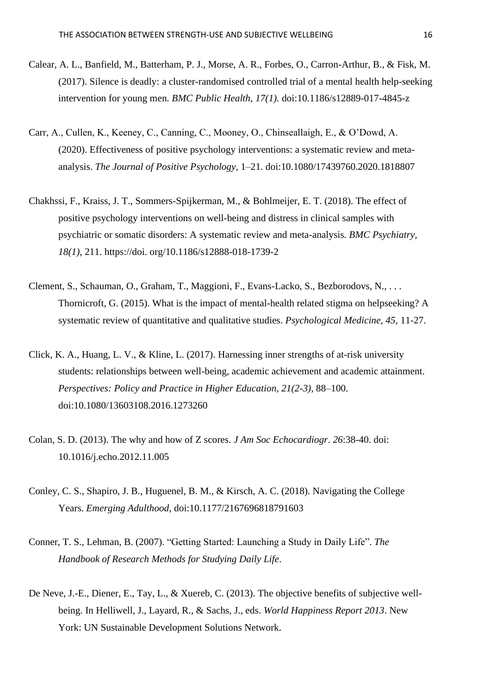- Calear, A. L., Banfield, M., Batterham, P. J., Morse, A. R., Forbes, O., Carron-Arthur, B., & Fisk, M. (2017). Silence is deadly: a cluster-randomised controlled trial of a mental health help-seeking intervention for young men*. BMC Public Health, 17(1).* doi:10.1186/s12889-017-4845-z
- Carr, A., Cullen, K., Keeney, C., Canning, C., Mooney, O., Chinseallaigh, E., & O'Dowd, A. (2020). Effectiveness of positive psychology interventions: a systematic review and metaanalysis. *The Journal of Positive Psychology,* 1–21*.* doi:10.1080/17439760.2020.1818807
- Chakhssi, F., Kraiss, J. T., Sommers-Spijkerman, M., & Bohlmeijer, E. T. (2018). The effect of positive psychology interventions on well-being and distress in clinical samples with psychiatric or somatic disorders: A systematic review and meta-analysis*. BMC Psychiatry, 18(1)*, 211. https://doi. org/10.1186/s12888-018-1739-2
- Clement, S., Schauman, O., Graham, T., Maggioni, F., Evans-Lacko, S., Bezborodovs, N., . . . Thornicroft, G. (2015). What is the impact of mental-health related stigma on helpseeking? A systematic review of quantitative and qualitative studies. *Psychological Medicine, 45,* 11-27.
- Click, K. A., Huang, L. V., & Kline, L. (2017). Harnessing inner strengths of at-risk university students: relationships between well-being, academic achievement and academic attainment. *Perspectives: Policy and Practice in Higher Education, 21(2-3),* 88–100. doi:10.1080/13603108.2016.1273260
- Colan, S. D. (2013). The why and how of Z scores. *J Am Soc Echocardiogr*. *26*:38-40. doi: 10.1016/j.echo.2012.11.005
- Conley, C. S., Shapiro, J. B., Huguenel, B. M., & Kirsch, A. C. (2018). Navigating the College Years. *Emerging Adulthood*, doi:10.1177/2167696818791603
- Conner, T. S., Lehman, B. (2007). "Getting Started: Launching a Study in Daily Life". *The Handbook of Research Methods for Studying Daily Life*.
- De Neve, J.-E., Diener, E., Tay, L., & Xuereb, C. (2013). The objective benefits of subjective wellbeing. In Helliwell, J., Layard, R., & Sachs, J., eds. *World Happiness Report 2013*. New York: UN Sustainable Development Solutions Network.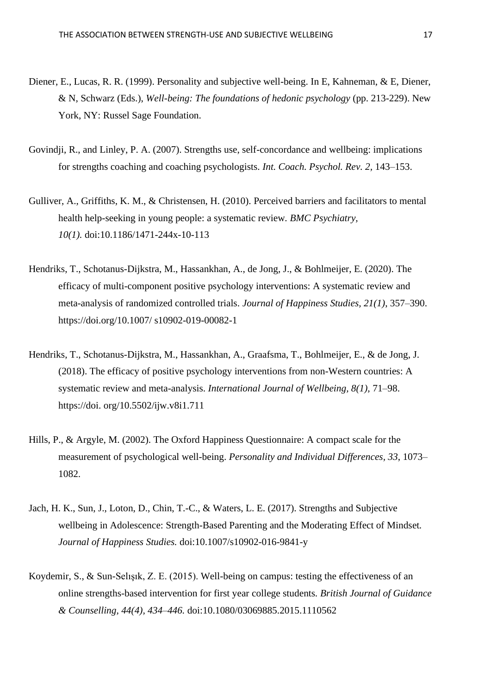- Diener, E., Lucas, R. R. (1999). Personality and subjective well-being. In E, Kahneman, & E, Diener, & N, Schwarz (Eds.), *Well-being: The foundations of hedonic psychology* (pp. 213-229). New York, NY: Russel Sage Foundation.
- Govindii, R., and Linley, P. A. (2007). Strengths use, self-concordance and wellbeing: implications for strengths coaching and coaching psychologists. *Int. Coach. Psychol. Rev. 2,* 143–153.
- Gulliver, A., Griffiths, K. M., & Christensen, H. (2010). Perceived barriers and facilitators to mental health help-seeking in young people: a systematic review*. BMC Psychiatry, 10(1).* doi:10.1186/1471-244x-10-113
- Hendriks, T., Schotanus-Dijkstra, M., Hassankhan, A., de Jong, J., & Bohlmeijer, E. (2020). The efficacy of multi-component positive psychology interventions: A systematic review and meta-analysis of randomized controlled trials. *Journal of Happiness Studies, 21(1)*, 357–390. https://doi.org/10.1007/ s10902-019-00082-1
- Hendriks, T., Schotanus-Dijkstra, M., Hassankhan, A., Graafsma, T., Bohlmeijer, E., & de Jong, J. (2018). The efficacy of positive psychology interventions from non-Western countries: A systematic review and meta-analysis. *International Journal of Wellbeing, 8(1),* 71–98. https://doi. org/10.5502/ijw.v8i1.711
- Hills, P., & Argyle, M. (2002). The Oxford Happiness Questionnaire: A compact scale for the measurement of psychological well-being. *Personality and Individual Differences, 33*, 1073– 1082.
- Jach, H. K., Sun, J., Loton, D., Chin, T.-C., & Waters, L. E. (2017). Strengths and Subjective wellbeing in Adolescence: Strength-Based Parenting and the Moderating Effect of Mindset*. Journal of Happiness Studies.* doi:10.1007/s10902-016-9841-y
- Koydemir, S., & Sun-Selışık, Z. E. (2015). Well-being on campus: testing the effectiveness of an online strengths-based intervention for first year college students*. British Journal of Guidance & Counselling, 44(4), 434–446.* doi:10.1080/03069885.2015.1110562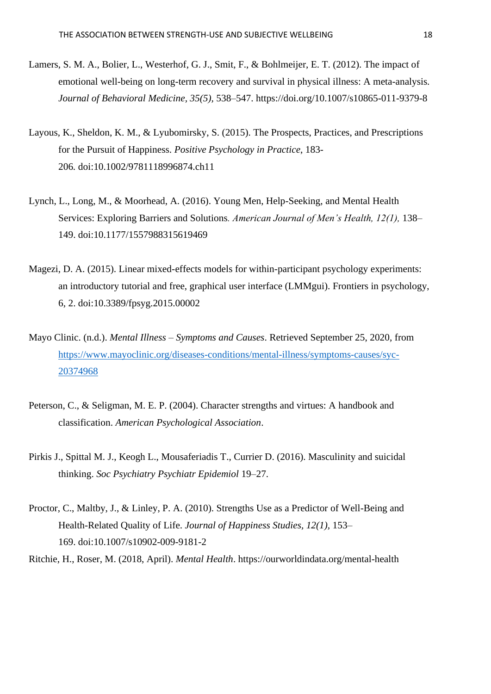- Lamers, S. M. A., Bolier, L., Westerhof, G. J., Smit, F., & Bohlmeijer, E. T. (2012). The impact of emotional well-being on long-term recovery and survival in physical illness: A meta-analysis*. Journal of Behavioral Medicine, 35(5),* 538–547. https://doi.org/10.1007/s10865-011-9379-8
- Layous, K., Sheldon, K. M., & Lyubomirsky, S. (2015). The Prospects, Practices, and Prescriptions for the Pursuit of Happiness. *Positive Psychology in Practice*, 183- 206*.* doi:10.1002/9781118996874.ch11
- Lynch, L., Long, M., & Moorhead, A. (2016). Young Men, Help-Seeking, and Mental Health Services: Exploring Barriers and Solutions*. American Journal of Men's Health, 12(1),* 138– 149. doi:10.1177/1557988315619469
- Magezi, D. A. (2015). Linear mixed-effects models for within-participant psychology experiments: an introductory tutorial and free, graphical user interface (LMMgui). Frontiers in psychology, 6, 2. doi:10.3389/fpsyg.2015.00002
- Mayo Clinic. (n.d.). *Mental Illness – Symptoms and Causes*. Retrieved September 25, 2020, from [https://www.mayoclinic.org/diseases-conditions/mental-illness/symptoms-causes/syc-](https://www.mayoclinic.org/diseases-conditions/mental-illness/symptoms-causes/syc-20374968)[20374968](https://www.mayoclinic.org/diseases-conditions/mental-illness/symptoms-causes/syc-20374968)
- Peterson, C., & Seligman, M. E. P. (2004). Character strengths and virtues: A handbook and classification. *American Psychological Association*.
- Pirkis J., Spittal M. J., Keogh L., Mousaferiadis T., Currier D. (2016). Masculinity and suicidal thinking. *Soc Psychiatry Psychiatr Epidemiol* 19–27.
- Proctor, C., Maltby, J., & Linley, P. A. (2010). Strengths Use as a Predictor of Well-Being and Health-Related Quality of Life. *Journal of Happiness Studies, 12(1),* 153– 169. doi:10.1007/s10902-009-9181-2

Ritchie, H., Roser, M. (2018, April). *Mental Health*. https://ourworldindata.org/mental-health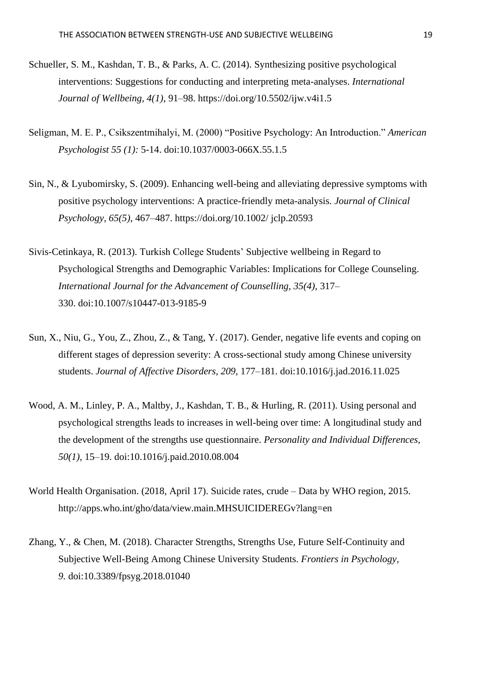- Schueller, S. M., Kashdan, T. B., & Parks, A. C. (2014). Synthesizing positive psychological interventions: Suggestions for conducting and interpreting meta-analyses. *International Journal of Wellbeing, 4(1)*, 91–98. https://doi.org/10.5502/ijw.v4i1.5
- Seligman, M. E. P., Csikszentmihalyi, M. (2000) "Positive Psychology: An Introduction." *American Psychologist 55 (1):* 5-14. doi:10.1037/0003-066X.55.1.5
- Sin, N., & Lyubomirsky, S. (2009). Enhancing well-being and alleviating depressive symptoms with positive psychology interventions: A practice-friendly meta-analysis*. Journal of Clinical Psychology, 65(5)*, 467–487. https://doi.org/10.1002/ jclp.20593
- Sivis-Cetinkaya, R. (2013). Turkish College Students' Subjective wellbeing in Regard to Psychological Strengths and Demographic Variables: Implications for College Counseling. *International Journal for the Advancement of Counselling, 35(4),* 317– 330. doi:10.1007/s10447-013-9185-9
- Sun, X., Niu, G., You, Z., Zhou, Z., & Tang, Y. (2017). Gender, negative life events and coping on different stages of depression severity: A cross-sectional study among Chinese university students. *Journal of Affective Disorders, 209,* 177–181. doi:10.1016/j.jad.2016.11.025
- Wood, A. M., Linley, P. A., Maltby, J., Kashdan, T. B., & Hurling, R. (2011). Using personal and psychological strengths leads to increases in well-being over time: A longitudinal study and the development of the strengths use questionnaire. *Personality and Individual Differences, 50(1),* 15–19. doi:10.1016/j.paid.2010.08.004
- World Health Organisation. (2018, April 17). Suicide rates, crude Data by WHO region, 2015. http://apps.who.int/gho/data/view.main.MHSUICIDEREGv?lang=en
- <span id="page-18-0"></span>Zhang, Y., & Chen, M. (2018). Character Strengths, Strengths Use, Future Self-Continuity and Subjective Well-Being Among Chinese University Students. *Frontiers in Psychology, 9.* doi:10.3389/fpsyg.2018.01040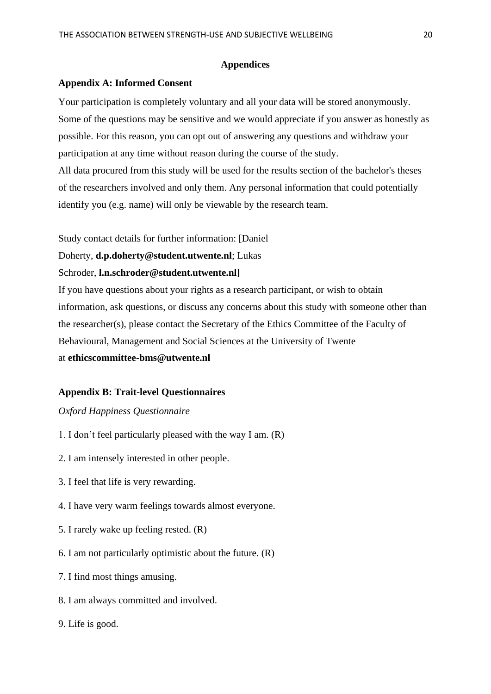#### **Appendices**

#### <span id="page-19-0"></span>**Appendix A: Informed Consent**

Your participation is completely voluntary and all your data will be stored anonymously. Some of the questions may be sensitive and we would appreciate if you answer as honestly as possible. For this reason, you can opt out of answering any questions and withdraw your participation at any time without reason during the course of the study.

All data procured from this study will be used for the results section of the bachelor's theses of the researchers involved and only them. Any personal information that could potentially identify you (e.g. name) will only be viewable by the research team.

Study contact details for further information: [Daniel

Doherty, **d.p.doherty@student.utwente.nl**; Lukas

#### Schroder, **l.n.schroder@student.utwente.nl]**

If you have questions about your rights as a research participant, or wish to obtain information, ask questions, or discuss any concerns about this study with someone other than the researcher(s), please contact the Secretary of the Ethics Committee of the Faculty of Behavioural, Management and Social Sciences at the University of Twente at **ethicscommittee-bms@utwente.nl**

#### <span id="page-19-1"></span>**Appendix B: Trait-level Questionnaires**

### *Oxford Happiness Questionnaire*

- 1. I don't feel particularly pleased with the way I am. (R)
- 2. I am intensely interested in other people.
- 3. I feel that life is very rewarding.
- 4. I have very warm feelings towards almost everyone.
- 5. I rarely wake up feeling rested. (R)
- 6. I am not particularly optimistic about the future. (R)
- 7. I find most things amusing.
- 8. I am always committed and involved.
- 9. Life is good.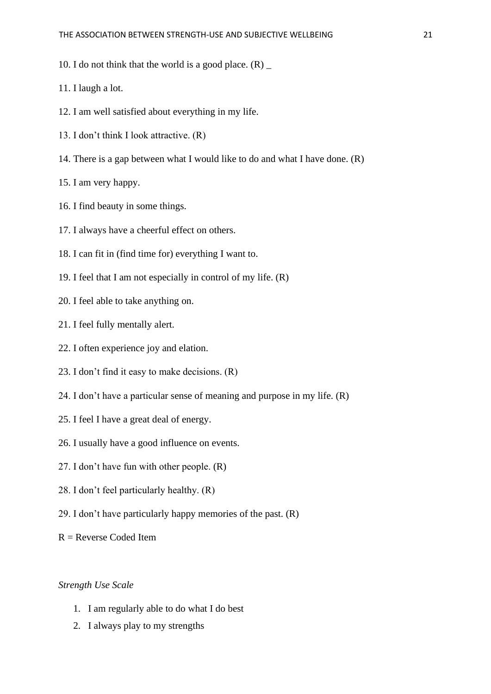10. I do not think that the world is a good place.  $(R)$ 

11. I laugh a lot.

- 12. I am well satisfied about everything in my life.
- 13. I don't think I look attractive. (R)
- 14. There is a gap between what I would like to do and what I have done. (R)

15. I am very happy.

- 16. I find beauty in some things.
- 17. I always have a cheerful effect on others.
- 18. I can fit in (find time for) everything I want to.
- 19. I feel that I am not especially in control of my life. (R)
- 20. I feel able to take anything on.
- 21. I feel fully mentally alert.
- 22. I often experience joy and elation.
- 23. I don't find it easy to make decisions. (R)
- 24. I don't have a particular sense of meaning and purpose in my life. (R)
- 25. I feel I have a great deal of energy.
- 26. I usually have a good influence on events.
- 27. I don't have fun with other people. (R)
- 28. I don't feel particularly healthy. (R)
- 29. I don't have particularly happy memories of the past. (R)
- $R =$ Reverse Coded Item

### *Strength Use Scale*

- 1. I am regularly able to do what I do best
- 2. I always play to my strengths